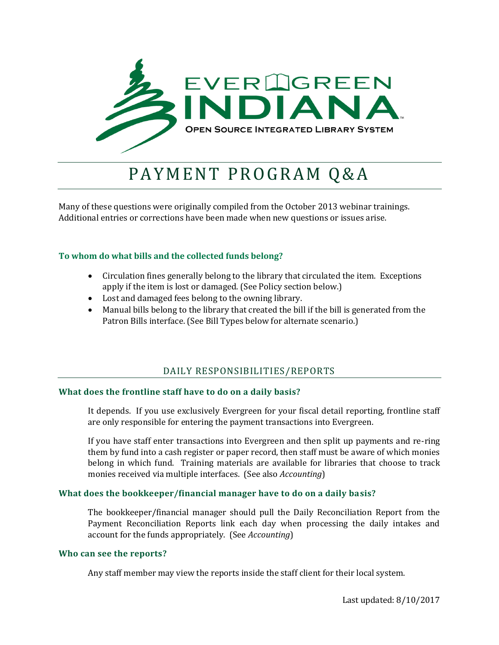

# PAYMENT PROGRAM Q&A

Many of these questions were originally compiled from the October 2013 webinar trainings. Additional entries or corrections have been made when new questions or issues arise.

# **To whom do what bills and the collected funds belong?**

- Circulation fines generally belong to the library that circulated the item. Exceptions apply if the item is lost or damaged. (See Policy section below.)
- Lost and damaged fees belong to the owning library.
- Manual bills belong to the library that created the bill if the bill is generated from the Patron Bills interface. (See Bill Types below for alternate scenario.)

# DAILY RESPONSIBILITIES/REPORTS

# **What does the frontline staff have to do on a daily basis?**

It depends. If you use exclusively Evergreen for your fiscal detail reporting, frontline staff are only responsible for entering the payment transactions into Evergreen.

If you have staff enter transactions into Evergreen and then split up payments and re-ring them by fund into a cash register or paper record, then staff must be aware of which monies belong in which fund. Training materials are available for libraries that choose to track monies received via multiple interfaces. (See also *Accounting*)

# **What does the bookkeeper/financial manager have to do on a daily basis?**

The bookkeeper/financial manager should pull the Daily Reconciliation Report from the Payment Reconciliation Reports link each day when processing the daily intakes and account for the funds appropriately. (See *Accounting*)

# **Who can see the reports?**

Any staff member may view the reports inside the staff client for their local system.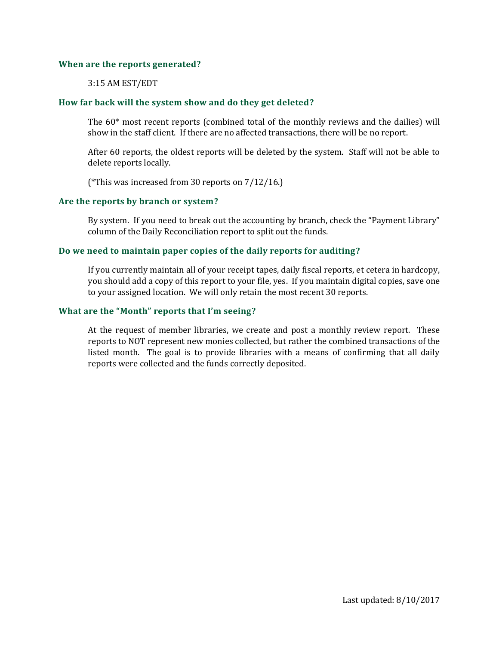# **When are the reports generated?**

# 3:15 AM EST/EDT

# **How far back will the system show and do they get deleted?**

The 60\* most recent reports (combined total of the monthly reviews and the dailies) will show in the staff client. If there are no affected transactions, there will be no report.

After 60 reports, the oldest reports will be deleted by the system. Staff will not be able to delete reports locally.

(\*This was increased from 30 reports on 7/12/16.)

# **Are the reports by branch or system?**

By system. If you need to break out the accounting by branch, check the "Payment Library" column of the Daily Reconciliation report to split out the funds.

# **Do we need to maintain paper copies of the daily reports for auditing?**

If you currently maintain all of your receipt tapes, daily fiscal reports, et cetera in hardcopy, you should add a copy of this report to your file, yes. If you maintain digital copies, save one to your assigned location. We will only retain the most recent 30 reports.

# **What are the "Month" reports that I'm seeing?**

At the request of member libraries, we create and post a monthly review report. These reports to NOT represent new monies collected, but rather the combined transactions of the listed month. The goal is to provide libraries with a means of confirming that all daily reports were collected and the funds correctly deposited.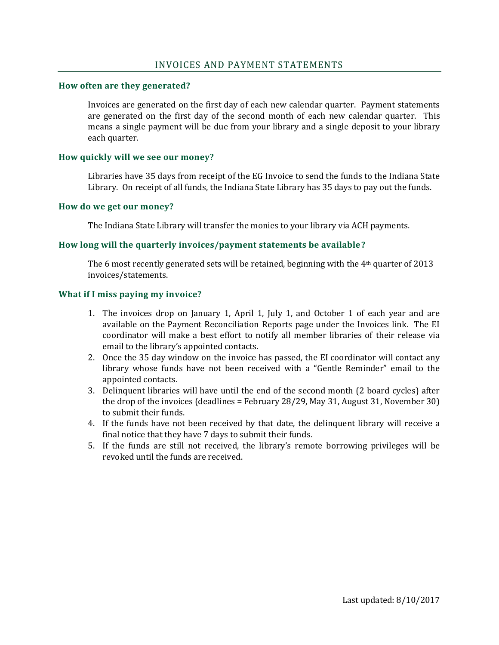# **How often are they generated?**

Invoices are generated on the first day of each new calendar quarter. Payment statements are generated on the first day of the second month of each new calendar quarter. This means a single payment will be due from your library and a single deposit to your library each quarter.

# **How quickly will we see our money?**

Libraries have 35 days from receipt of the EG Invoice to send the funds to the Indiana State Library. On receipt of all funds, the Indiana State Library has 35 days to pay out the funds.

## **How do we get our money?**

The Indiana State Library will transfer the monies to your library via ACH payments.

# **How long will the quarterly invoices/payment statements be available?**

The 6 most recently generated sets will be retained, beginning with the 4<sup>th</sup> quarter of 2013 invoices/statements.

## **What if I miss paying my invoice?**

- 1. The invoices drop on January 1, April 1, July 1, and October 1 of each year and are available on the Payment Reconciliation Reports page under the Invoices link. The EI coordinator will make a best effort to notify all member libraries of their release via email to the library's appointed contacts.
- 2. Once the 35 day window on the invoice has passed, the EI coordinator will contact any library whose funds have not been received with a "Gentle Reminder" email to the appointed contacts.
- 3. Delinquent libraries will have until the end of the second month (2 board cycles) after the drop of the invoices (deadlines = February 28/29, May 31, August 31, November 30) to submit their funds.
- 4. If the funds have not been received by that date, the delinquent library will receive a final notice that they have 7 days to submit their funds.
- 5. If the funds are still not received, the library's remote borrowing privileges will be revoked until the funds are received.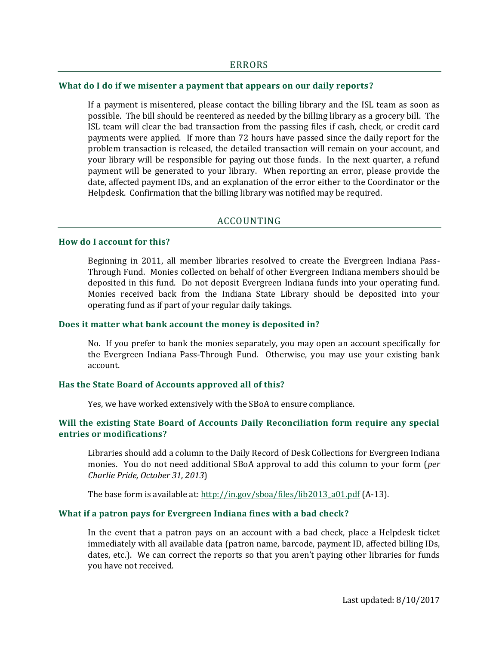#### **What do I do if we misenter a payment that appears on our daily reports?**

If a payment is misentered, please contact the billing library and the ISL team as soon as possible. The bill should be reentered as needed by the billing library as a grocery bill. The ISL team will clear the bad transaction from the passing files if cash, check, or credit card payments were applied. If more than 72 hours have passed since the daily report for the problem transaction is released, the detailed transaction will remain on your account, and your library will be responsible for paying out those funds. In the next quarter, a refund payment will be generated to your library. When reporting an error, please provide the date, affected payment IDs, and an explanation of the error either to the Coordinator or the Helpdesk. Confirmation that the billing library was notified may be required.

#### ACCOUNTING

## **How do I account for this?**

Beginning in 2011, all member libraries resolved to create the Evergreen Indiana Pass-Through Fund. Monies collected on behalf of other Evergreen Indiana members should be deposited in this fund. Do not deposit Evergreen Indiana funds into your operating fund. Monies received back from the Indiana State Library should be deposited into your operating fund as if part of your regular daily takings.

#### **Does it matter what bank account the money is deposited in?**

No. If you prefer to bank the monies separately, you may open an account specifically for the Evergreen Indiana Pass-Through Fund. Otherwise, you may use your existing bank account.

# **Has the State Board of Accounts approved all of this?**

Yes, we have worked extensively with the SBoA to ensure compliance.

# **Will the existing State Board of Accounts Daily Reconciliation form require any special entries or modifications?**

Libraries should add a column to the Daily Record of Desk Collections for Evergreen Indiana monies. You do not need additional SBoA approval to add this column to your form (*per Charlie Pride, October 31, 2013*)

The base form is available at[: http://in.gov/sboa/files/lib2013\\_a01.pdf](http://in.gov/sboa/files/lib2013_a01.pdf) (A-13).

#### **What if a patron pays for Evergreen Indiana fines with a bad check?**

In the event that a patron pays on an account with a bad check, place a Helpdesk ticket immediately with all available data (patron name, barcode, payment ID, affected billing IDs, dates, etc.). We can correct the reports so that you aren't paying other libraries for funds you have not received.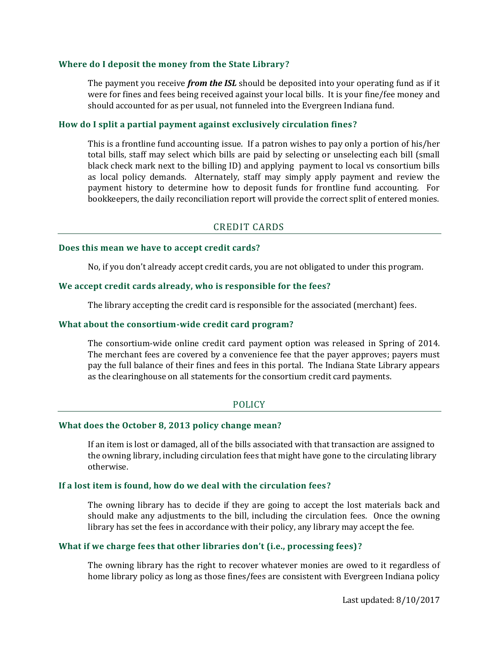# **Where do I deposit the money from the State Library?**

The payment you receive *from the ISL* should be deposited into your operating fund as if it were for fines and fees being received against your local bills. It is your fine/fee money and should accounted for as per usual, not funneled into the Evergreen Indiana fund.

# **How do I split a partial payment against exclusively circulation fines?**

This is a frontline fund accounting issue. If a patron wishes to pay only a portion of his/her total bills, staff may select which bills are paid by selecting or unselecting each bill (small black check mark next to the billing ID) and applying payment to local vs consortium bills as local policy demands. Alternately, staff may simply apply payment and review the payment history to determine how to deposit funds for frontline fund accounting. For bookkeepers, the daily reconciliation report will provide the correct split of entered monies.

# CREDIT CARDS

#### **Does this mean we have to accept credit cards?**

No, if you don't already accept credit cards, you are not obligated to under this program.

## **We accept credit cards already, who is responsible for the fees?**

The library accepting the credit card is responsible for the associated (merchant) fees.

#### **What about the consortium-wide credit card program?**

The consortium-wide online credit card payment option was released in Spring of 2014. The merchant fees are covered by a convenience fee that the payer approves; payers must pay the full balance of their fines and fees in this portal. The Indiana State Library appears as the clearinghouse on all statements for the consortium credit card payments.

# POLICY

# **What does the October 8, 2013 policy change mean?**

If an item is lost or damaged, all of the bills associated with that transaction are assigned to the owning library, including circulation fees that might have gone to the circulating library otherwise.

#### **If a lost item is found, how do we deal with the circulation fees?**

The owning library has to decide if they are going to accept the lost materials back and should make any adjustments to the bill, including the circulation fees. Once the owning library has set the fees in accordance with their policy, any library may accept the fee.

## **What if we charge fees that other libraries don't (i.e., processing fees)?**

The owning library has the right to recover whatever monies are owed to it regardless of home library policy as long as those fines/fees are consistent with Evergreen Indiana policy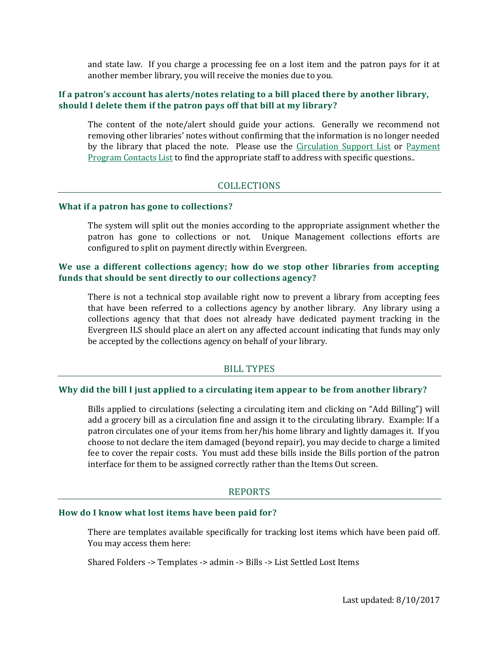and state law. If you charge a processing fee on a lost item and the patron pays for it at another member library, you will receive the monies due to you.

# **If a patron's account has alerts/notes relating to a bill placed there by another library, should I delete them if the patron pays off that bill at my library?**

The content of the note/alert should guide your actions. Generally we recommend not removing other libraries' notes without confirming that the information is no longer needed by the library that placed the note. Please use the [Circulation Support List](http://blog.evergreen.lib.in.us/wp-content/uploads/2015/04/Circ-Support-List.pdf) or Payment [Program Contacts List](http://blog.evergreen.lib.in.us/wp-content/uploads/2013/10/Payment-Program-Contact-List.pdf) to find the appropriate staff to address with specific questions..

# COLLECTIONS

# **What if a patron has gone to collections?**

The system will split out the monies according to the appropriate assignment whether the patron has gone to collections or not. Unique Management collections efforts are configured to split on payment directly within Evergreen.

# **We use a different collections agency; how do we stop other libraries from accepting funds that should be sent directly to our collections agency?**

There is not a technical stop available right now to prevent a library from accepting fees that have been referred to a collections agency by another library. Any library using a collections agency that that does not already have dedicated payment tracking in the Evergreen ILS should place an alert on any affected account indicating that funds may only be accepted by the collections agency on behalf of your library.

# BILL TYPES

# **Why did the bill I just applied to a circulating item appear to be from another library?**

Bills applied to circulations (selecting a circulating item and clicking on "Add Billing") will add a grocery bill as a circulation fine and assign it to the circulating library. Example: If a patron circulates one of your items from her/his home library and lightly damages it. If you choose to not declare the item damaged (beyond repair), you may decide to charge a limited fee to cover the repair costs. You must add these bills inside the Bills portion of the patron interface for them to be assigned correctly rather than the Items Out screen.

# REPORTS

#### **How do I know what lost items have been paid for?**

There are templates available specifically for tracking lost items which have been paid off. You may access them here:

Shared Folders -> Templates -> admin -> Bills -> List Settled Lost Items